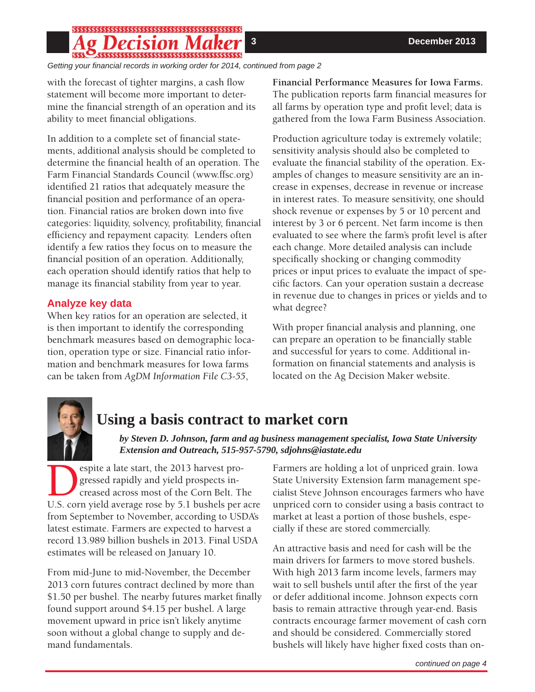## 

*Getting your fi nancial records in working order for 2014, continued from page 2*

with the forecast of tighter margins, a cash flow statement will become more important to determine the financial strength of an operation and its ability to meet financial obligations.

In addition to a complete set of financial statements, additional analysis should be completed to determine the financial health of an operation. The Farm Financial Standards Council (www.ffsc.org) identified 21 ratios that adequately measure the financial position and performance of an operation. Financial ratios are broken down into five categories: liquidity, solvency, profitability, financial efficiency and repayment capacity. Lenders often identify a few ratios they focus on to measure the financial position of an operation. Additionally, each operation should identify ratios that help to manage its financial stability from year to year.

### **Analyze key data**

When key ratios for an operation are selected, it is then important to identify the corresponding benchmark measures based on demographic location, operation type or size. Financial ratio information and benchmark measures for Iowa farms can be taken from *AgDM Information File C3-55*,

**Financial Performance Measures for Iowa Farms.** The publication reports farm financial measures for all farms by operation type and profit level; data is gathered from the Iowa Farm Business Association.

Production agriculture today is extremely volatile; sensitivity analysis should also be completed to evaluate the financial stability of the operation. Examples of changes to measure sensitivity are an increase in expenses, decrease in revenue or increase in interest rates. To measure sensitivity, one should shock revenue or expenses by 5 or 10 percent and interest by 3 or 6 percent. Net farm income is then evaluated to see where the farm's profit level is after each change. More detailed analysis can include specifically shocking or changing commodity prices or input prices to evaluate the impact of specific factors. Can your operation sustain a decrease in revenue due to changes in prices or yields and to what degree?

With proper financial analysis and planning, one can prepare an operation to be financially stable and successful for years to come. Additional information on financial statements and analysis is located on the Ag Decision Maker website.



### **Using a basis contract to market corn**

*by Steven D. Johnson, farm and ag business management specialist, Iowa State University Extension and Outreach, 515-957-5790, sdjohns@iastate.edu*

**Despite a late start, the 2013 harvest progressed rapidly and yield prospects increased across most of the Corn Belt. The U.S. corn vield average rose by 5.1 bushels per** gressed rapidly and yield prospects increased across most of the Corn Belt. The U.S. corn yield average rose by 5.1 bushels per acre from September to November, according to USDA's latest estimate. Farmers are expected to harvest a record 13.989 billion bushels in 2013. Final USDA estimates will be released on January 10.

From mid-June to mid-November, the December 2013 corn futures contract declined by more than \$1.50 per bushel. The nearby futures market finally found support around \$4.15 per bushel. A large movement upward in price isn't likely anytime soon without a global change to supply and demand fundamentals.

Farmers are holding a lot of unpriced grain. Iowa State University Extension farm management specialist Steve Johnson encourages farmers who have unpriced corn to consider using a basis contract to market at least a portion of those bushels, especially if these are stored commercially.

An attractive basis and need for cash will be the main drivers for farmers to move stored bushels. With high 2013 farm income levels, farmers may wait to sell bushels until after the first of the year or defer additional income. Johnson expects corn basis to remain attractive through year-end. Basis contracts encourage farmer movement of cash corn and should be considered. Commercially stored bushels will likely have higher fixed costs than on-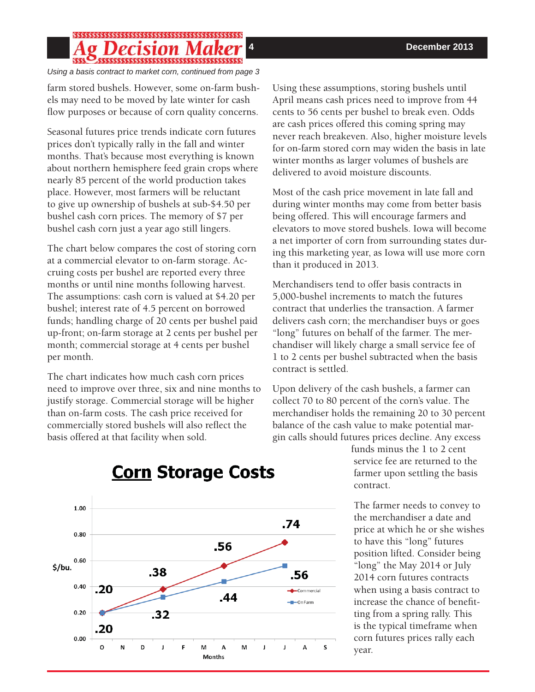#### 5555555555555555555555555555555555 151 A H

*Using a basis contract to market corn, continued from page 3*

farm stored bushels. However, some on-farm bushels may need to be moved by late winter for cash flow purposes or because of corn quality concerns.

Seasonal futures price trends indicate corn futures prices don't typically rally in the fall and winter months. That's because most everything is known about northern hemisphere feed grain crops where nearly 85 percent of the world production takes place. However, most farmers will be reluctant to give up ownership of bushels at sub-\$4.50 per bushel cash corn prices. The memory of \$7 per bushel cash corn just a year ago still lingers.

The chart below compares the cost of storing corn at a commercial elevator to on-farm storage. Accruing costs per bushel are reported every three months or until nine months following harvest. The assumptions: cash corn is valued at \$4.20 per bushel; interest rate of 4.5 percent on borrowed funds; handling charge of 20 cents per bushel paid up-front; on-farm storage at 2 cents per bushel per month; commercial storage at 4 cents per bushel per month.

The chart indicates how much cash corn prices need to improve over three, six and nine months to justify storage. Commercial storage will be higher than on-farm costs. The cash price received for commercially stored bushels will also reflect the basis offered at that facility when sold.

Using these assumptions, storing bushels until April means cash prices need to improve from 44 cents to 56 cents per bushel to break even. Odds are cash prices offered this coming spring may never reach breakeven. Also, higher moisture levels for on-farm stored corn may widen the basis in late winter months as larger volumes of bushels are delivered to avoid moisture discounts.

Most of the cash price movement in late fall and during winter months may come from better basis being offered. This will encourage farmers and elevators to move stored bushels. Iowa will become a net importer of corn from surrounding states during this marketing year, as Iowa will use more corn than it produced in 2013.

Merchandisers tend to offer basis contracts in 5,000-bushel increments to match the futures contract that underlies the transaction. A farmer delivers cash corn; the merchandiser buys or goes "long" futures on behalf of the farmer. The merchandiser will likely charge a small service fee of 1 to 2 cents per bushel subtracted when the basis contract is settled.

Upon delivery of the cash bushels, a farmer can collect 70 to 80 percent of the corn's value. The merchandiser holds the remaining 20 to 30 percent balance of the cash value to make potential margin calls should futures prices decline. Any excess

> funds minus the 1 to 2 cent service fee are returned to the farmer upon settling the basis contract.

The farmer needs to convey to the merchandiser a date and price at which he or she wishes to have this "long" futures position lifted. Consider being "long" the May 2014 or July 2014 corn futures contracts when using a basis contract to increase the chance of benefitting from a spring rally. This is the typical timeframe when corn futures prices rally each year.